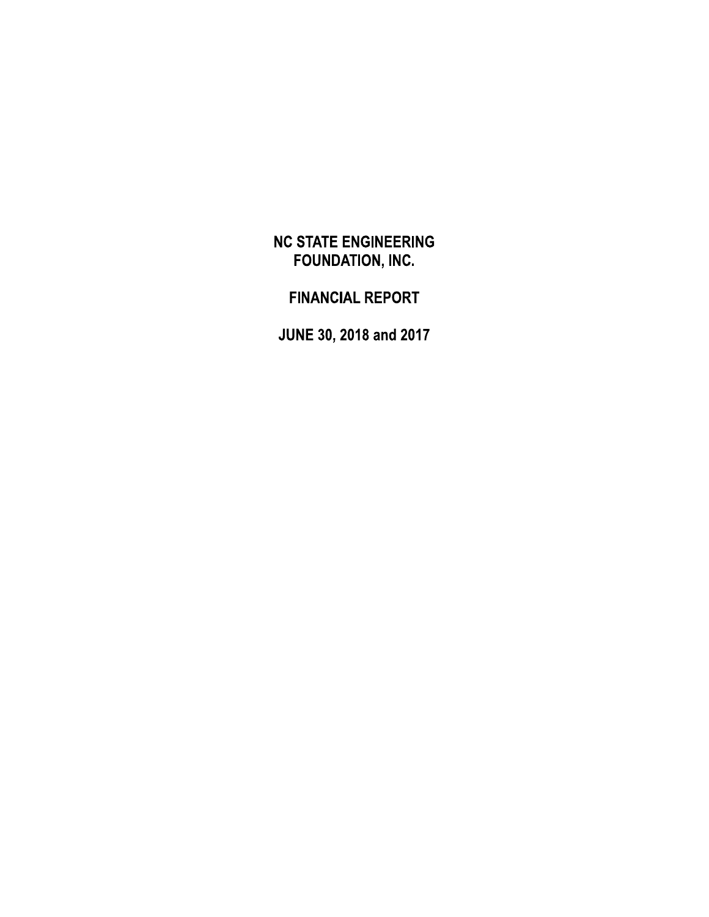### **NC STATE ENGINEERING** FOUNDATION, INC.

## **FINANCIAL REPORT**

**JUNE 30, 2018 and 2017**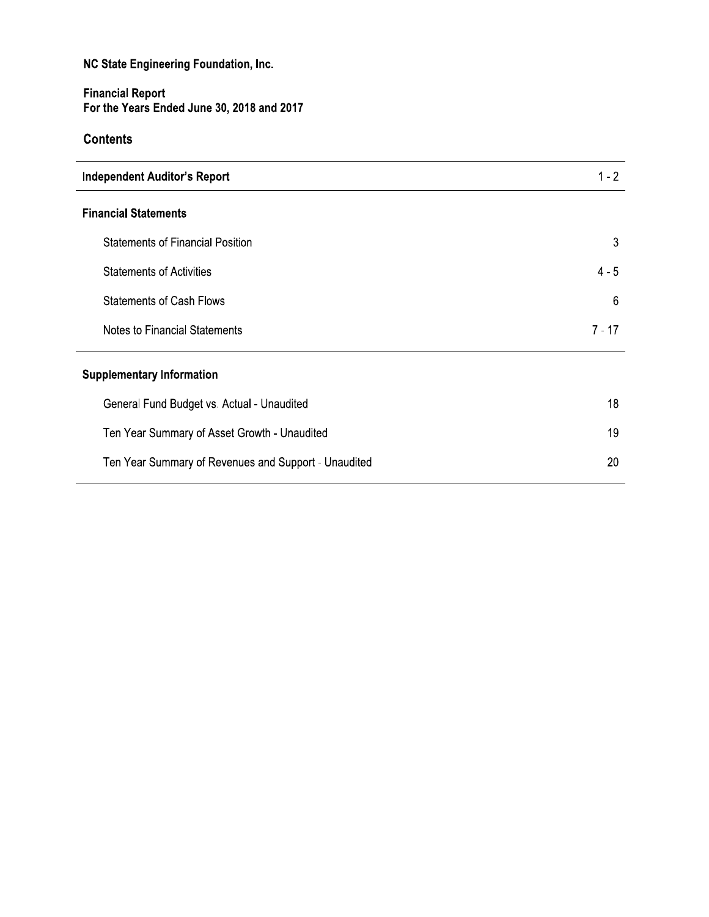# Financial Report<br>For the Years Ended June 30, 2018 and 2017

### **Contents**

| <b>Independent Auditor's Report</b>                  | $1 - 2$  |
|------------------------------------------------------|----------|
| <b>Financial Statements</b>                          |          |
| <b>Statements of Financial Position</b>              | 3        |
| <b>Statements of Activities</b>                      | $4 - 5$  |
| <b>Statements of Cash Flows</b>                      | 6        |
| Notes to Financial Statements                        | $7 - 17$ |
| <b>Supplementary Information</b>                     |          |
| General Fund Budget vs. Actual - Unaudited           | 18       |
| Ten Year Summary of Asset Growth - Unaudited         | 19       |
| Ten Year Summary of Revenues and Support - Unaudited | 20       |
|                                                      |          |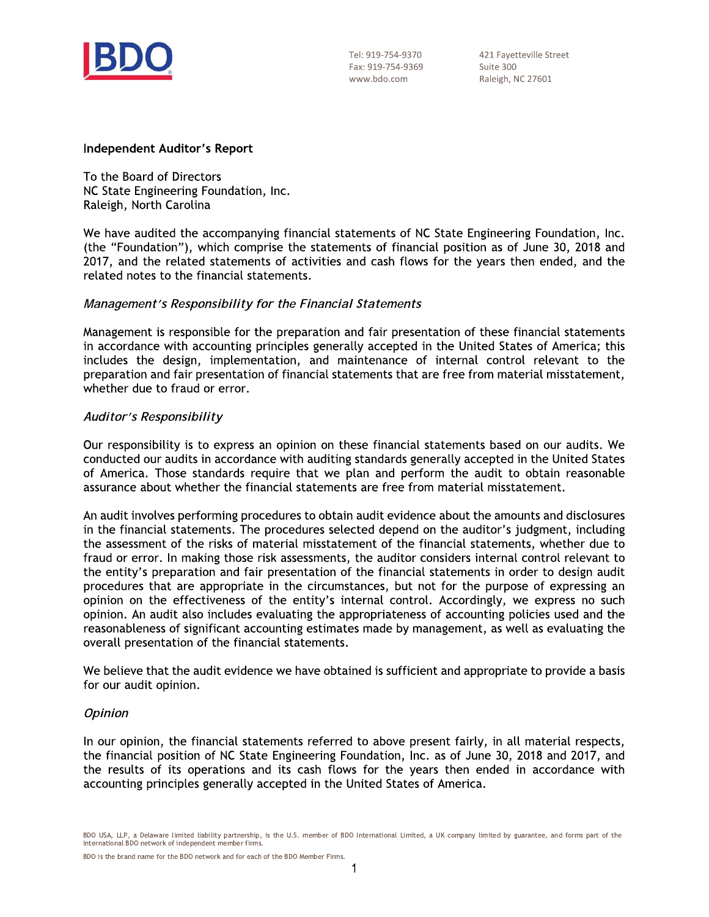

 Suite 300 Raleigh, NC 27601

### Independent Auditor's Report

To the Board of Directors NC State Engineering Foundation, Inc. Raleigh, North Carolina

Independent Auditor's Repo<br>To the Board of Directors<br>NC State Engineering Foundat<br>Raleigh, North Carolina<br>We have audited the accomp<br>(the "Foundation"), which co<br>2017, and the related statem<br>related notes to the financial i.<br>... We have audited the accompanying financial statements of NC State Engineering Foundation, Inc. (the "Foundation"), which comprise the statements of financial position as of June 30, 2018 and 2017, and the related statements of activities and cash flows for the years then ended, and the related notes to the financial statements.

### $\frac{1}{2}$ wanagement's responsibility for the Financial Statements

i.<br>Do  $m$ anagement is responsible for the preparation and rair presentation of these financial statements in accordance with accounting principles generally accepted in the United States of America; this includes the design, implementation, and maintenance of internal control relevant to the preparation and fair presentation of financial statements that are free from material misstatement, whether due to fraud or error.

### i. Auditor's Responsibility

 $\mathbb{R}^2$ Our responsibility is to express an opinion on these financial statements based on our audits. We conducted our audits in accordance with auditing standards generally accepted in the United States of America. Those standards require that we plan and perform the audit to obtain reasonable assurance about whether the financial statements are free from material misstatement.

i. An audit involves performing procedures to obtain audit evidence about the amounts and disclosures  $\,$ in the financial statements. The procedures selected depend on the auditor's judgment, including the assessment of the risks of material misstatement of the financial statements, whether due to fraud or error. In making those risk assessments, the auditor considers internal control relevant to the entity's preparation and fair presentation of the financial statements in order to design audit procedures that are appropriate in the circumstances, but not for the purpose of expressing an opinion on the effectiveness of the entity's internal control. Accordingly, we express no such opinion. An audit also includes evaluating the appropriateness of accounting policies used and the reasonableness of significant accounting estimates made by management, as well as evaluating the overall presentation of the financial statements.

 $\mathbb{R}^2$ We betieve that the audit evidence we have obtained is sufficient and appropriate to provide a basis for our audit opinion.

### $\mathbb{R}^2$ upinion

the results of its operations and its cash flows for the years then ended in accordance with accounting principles generally accepted in the United States of America.<br>BDO USA, LLP, a Delaware limited liability partnership,  $\mathbf{r}$ in our opinion, the financial statements referred to above present fairly, in all material respects, the financial position of NC State Engineering Foundation, Inc. as of June 30, 2018 and 2017, and the results of its operations and its cash flows for the years then ended in accordance with accounting principles generally accepted in the United States of America.

**accounting principles generally accellary and the sum of the sum of the sum of the sum of the sum of the sum of the sum of the sum of the sum of the sum of the sum of the sum of the sum of the sum of the sum of the sum of** BDO USA, LLP, a Delaware limited liability partnership, is the U.S. member of BDO international BDO network of independent member firms.<br>BDO is the brand name for the BDO network and for each of the BDO Member Firms.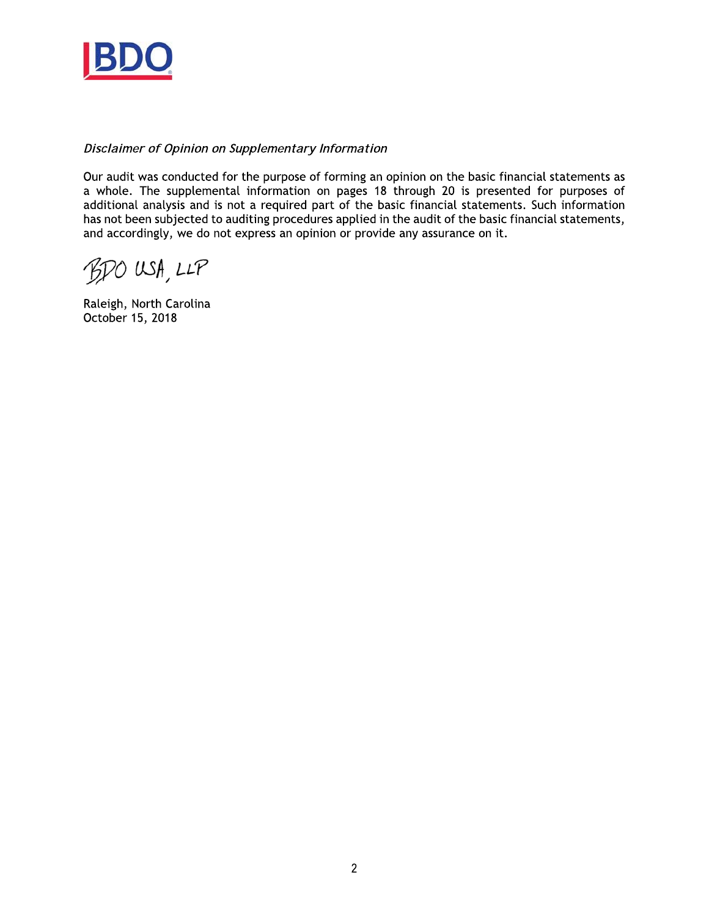

### Disclaimer of Opinion on Supplementary Information

Our audit was conducted for the purpose of forming an opinion on the basic financial statements as a whole. The supplemental information on pages 18 through 20 is presented for purposes of additional analysis and is not a required part of the basic financial statements. Such information has not been subjected to auditing procedures applied in the audit of the basic financial statements, and accordingly, we do not express an opinion or provide any assurance on it.

BDO USA, LLP

Raleigh, North Carolina October 15, 2018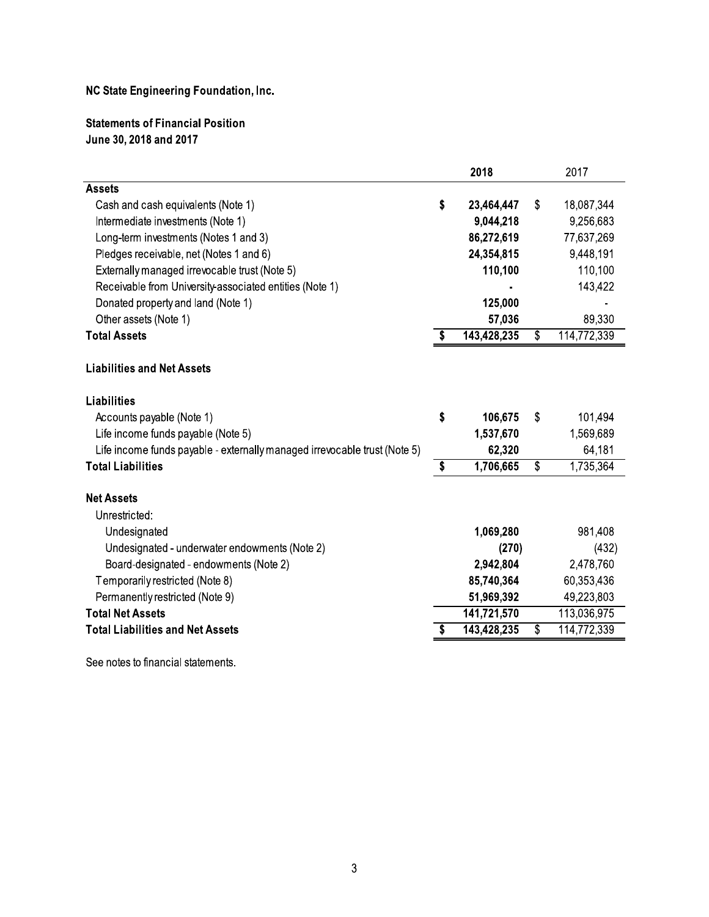### **Statements of Financial Position** June 30, 2018 and 2017

|                                                                           |    | 2018        |                          | 2017        |
|---------------------------------------------------------------------------|----|-------------|--------------------------|-------------|
| <b>Assets</b>                                                             |    |             |                          |             |
| Cash and cash equivalents (Note 1)                                        | \$ | 23,464,447  | \$                       | 18,087,344  |
| Intermediate investments (Note 1)                                         |    | 9,044,218   |                          | 9,256,683   |
| Long-term investments (Notes 1 and 3)                                     |    | 86,272,619  |                          | 77,637,269  |
| Pledges receivable, net (Notes 1 and 6)                                   |    | 24,354,815  |                          | 9,448,191   |
| Externally managed irrevocable trust (Note 5)                             |    | 110,100     |                          | 110,100     |
| Receivable from University-associated entities (Note 1)                   |    |             |                          | 143,422     |
| Donated property and land (Note 1)                                        |    | 125,000     |                          |             |
| Other assets (Note 1)                                                     |    | 57,036      |                          | 89,330      |
| <b>Total Assets</b>                                                       | S  | 143,428,235 | $\overline{\mathcal{S}}$ | 114,772,339 |
| <b>Liabilities and Net Assets</b>                                         |    |             |                          |             |
| <b>Liabilities</b>                                                        |    |             |                          |             |
| Accounts payable (Note 1)                                                 | \$ | 106,675     | S                        | 101,494     |
| Life income funds payable (Note 5)                                        |    | 1,537,670   |                          | 1,569,689   |
| Life income funds payable - externally managed irrevocable trust (Note 5) |    | 62,320      |                          | 64,181      |
| <b>Total Liabilities</b>                                                  | \$ | 1,706,665   | \$                       | 1,735,364   |
| <b>Net Assets</b>                                                         |    |             |                          |             |
| Unrestricted:                                                             |    |             |                          |             |
| Undesignated                                                              |    | 1,069,280   |                          | 981,408     |
| Undesignated - underwater endowments (Note 2)                             |    | (270)       |                          | (432)       |
| Board-designated - endowments (Note 2)                                    |    | 2,942,804   |                          | 2,478,760   |
| Temporarily restricted (Note 8)                                           |    | 85,740,364  |                          | 60,353,436  |
| Permanently restricted (Note 9)                                           |    | 51,969,392  |                          | 49,223,803  |
| <b>Total Net Assets</b>                                                   |    | 141,721,570 |                          | 113,036,975 |
| <b>Total Liabilities and Net Assets</b>                                   |    | 143,428,235 | \$                       | 114,772,339 |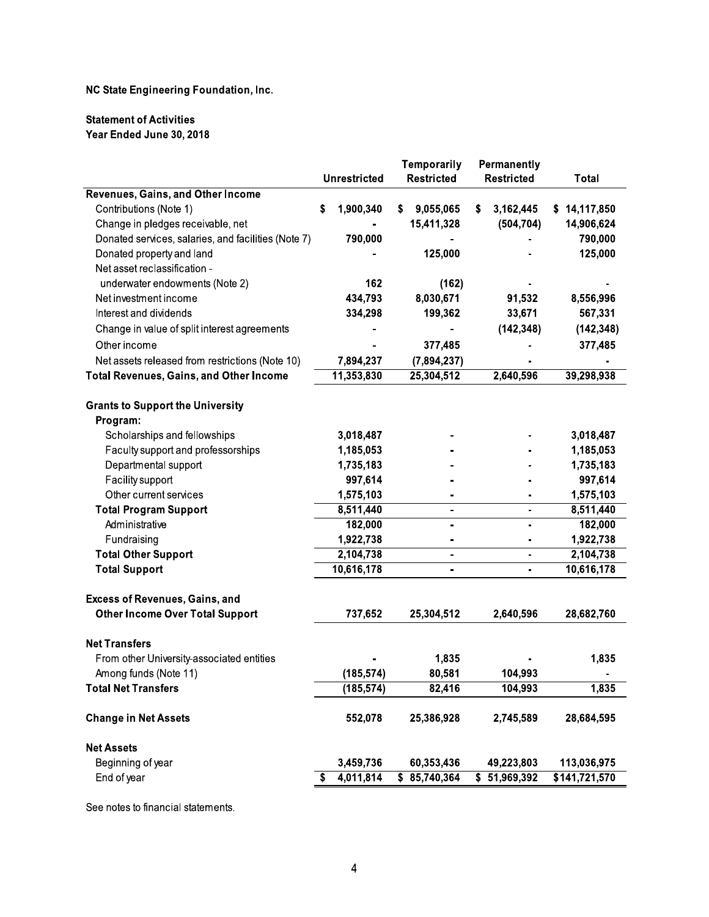### Statement of Activities

|                                                     | <b>Unrestricted</b> | Temporarily<br><b>Restricted</b> | Permanently<br><b>Restricted</b> | Total        |
|-----------------------------------------------------|---------------------|----------------------------------|----------------------------------|--------------|
| Revenues, Gains, and Other Income                   |                     |                                  |                                  |              |
| Contributions (Note 1)                              | \$<br>1,900,340     | 9,055,065                        | S<br>3,162,445                   | \$14,117,850 |
| Change in pledges receivable, net                   |                     | 15,411,328                       | (504, 704)                       | 14,906,624   |
| Donated services, salaries, and facilities (Note 7) | 790,000             |                                  |                                  | 790,000      |
| Donated property and land                           |                     | 125,000                          |                                  | 125,000      |
| Net asset reclassification -                        |                     |                                  |                                  |              |
| underwater endowments (Note 2)                      | 162                 | (162)                            |                                  |              |
| Net investment income                               | 434,793             | 8,030,671                        | 91,532                           | 8,556,996    |
| Interest and dividends                              | 334,298             | 199,362                          | 33,671                           | 567,331      |
| Change in value of split interest agreements        |                     |                                  | (142, 348)                       | (142, 348)   |
| Other income                                        |                     | 377,485                          |                                  | 377,485      |
| Net assets released from restrictions (Note 10)     | 7,894,237           | (7,894,237)                      |                                  |              |
| <b>Total Revenues, Gains, and Other Income</b>      | 11,353,830          | 25,304,512                       | 2,640,596                        | 39,298,938   |
| <b>Grants to Support the University</b><br>Program: |                     |                                  |                                  |              |
| Scholarships and fellowships                        | 3,018,487           |                                  |                                  | 3,018,487    |
| Faculty support and professorships                  | 1,185,053           |                                  |                                  | 1,185,053    |
| Departmental support                                | 1,735,183           |                                  |                                  | 1,735,183    |
| Facility support                                    | 997,614             |                                  |                                  | 997,614      |
| Other current services                              | 1,575,103           |                                  |                                  | 1,575,103    |
| <b>Total Program Support</b>                        | 8,511,440           | $\blacksquare$                   | $\blacksquare$                   | 8,511,440    |
| Administrative                                      | 182,000             | $\blacksquare$                   |                                  | 182,000      |
| Fundraising                                         | 1,922,738           | $\blacksquare$                   |                                  | 1,922,738    |
| <b>Total Other Support</b>                          | 2,104,738           | $\blacksquare$                   | $\blacksquare$                   | 2,104,738    |
| <b>Total Support</b>                                | 10,616,178          | ٠                                | $\blacksquare$                   | 10,616,178   |
| <b>Excess of Revenues, Gains, and</b>               |                     |                                  |                                  |              |
| <b>Other Income Over Total Support</b>              | 737,652             | 25,304,512                       | 2,640,596                        | 28,682,760   |
| <b>Net Transfers</b>                                |                     |                                  |                                  |              |
| From other University-associated entities           |                     | 1,835                            |                                  | 1,835        |
| Among funds (Note 11)                               | (185, 574)          | 80,581                           | 104,993                          |              |
| <b>Total Net Transfers</b>                          | (185, 574)          | 82,416                           | 104,993                          | 1,835        |
| <b>Change in Net Assets</b>                         | 552,078             | 25,386,928                       | 2,745,589                        | 28,684,595   |
| <b>Net Assets</b>                                   |                     |                                  |                                  |              |
|                                                     |                     |                                  |                                  |              |
| Beginning of year                                   | 3,459,736           | 60,353,436                       | 49,223,803                       | 113,036,975  |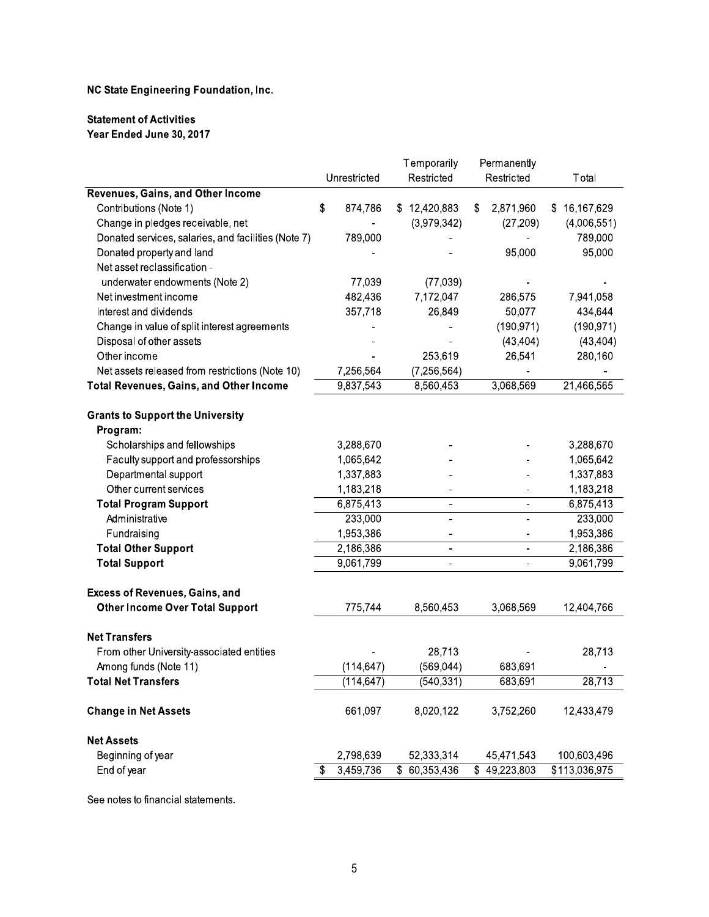### **Statement of Activities**

Year Ended June 30, 2017

|                                                     |                 | Temporarily<br>Permanently   |                              |                  |  |
|-----------------------------------------------------|-----------------|------------------------------|------------------------------|------------------|--|
|                                                     | Unrestricted    | Restricted                   | Restricted                   | Total            |  |
| Revenues, Gains, and Other Income                   |                 |                              |                              |                  |  |
| Contributions (Note 1)                              | \$<br>874,786   | \$12,420,883                 | 2,871,960<br>\$              | 16,167,629<br>S. |  |
| Change in pledges receivable, net                   |                 | (3,979,342)                  | (27, 209)                    | (4,006,551)      |  |
| Donated services, salaries, and facilities (Note 7) | 789,000         |                              |                              | 789,000          |  |
| Donated property and land                           |                 |                              | 95,000                       | 95,000           |  |
| Net asset reclassification -                        |                 |                              |                              |                  |  |
| underwater endowments (Note 2)                      | 77,039          | (77, 039)                    |                              |                  |  |
| Net investment income                               | 482,436         | 7,172,047                    | 286,575                      | 7,941,058        |  |
| Interest and dividends                              | 357,718         | 26,849                       | 50,077                       | 434,644          |  |
| Change in value of split interest agreements        |                 |                              | (190, 971)                   | (190, 971)       |  |
| Disposal of other assets                            |                 |                              | (43, 404)                    | (43, 404)        |  |
| Other income                                        |                 | 253,619                      | 26,541                       | 280,160          |  |
| Net assets released from restrictions (Note 10)     | 7,256,564       | (7, 256, 564)                |                              |                  |  |
| <b>Total Revenues, Gains, and Other Income</b>      | 9,837,543       | 8,560,453                    | 3,068,569                    | 21,466,565       |  |
| <b>Grants to Support the University</b>             |                 |                              |                              |                  |  |
| Program:                                            |                 |                              |                              |                  |  |
| Scholarships and fellowships                        | 3,288,670       |                              |                              | 3,288,670        |  |
| Faculty support and professorships                  | 1,065,642       |                              |                              | 1,065,642        |  |
| Departmental support                                | 1,337,883       |                              |                              | 1,337,883        |  |
| Other current services                              | 1,183,218       |                              |                              | 1,183,218        |  |
| <b>Total Program Support</b>                        | 6,875,413       | $\overline{a}$               | $\blacksquare$               | 6,875,413        |  |
| Administrative                                      | 233,000         | ÷                            | ä,                           | 233,000          |  |
| Fundraising                                         | 1,953,386       |                              | $\overline{\phantom{a}}$     | 1,953,386        |  |
| <b>Total Other Support</b>                          | 2,186,386       | $\qquad \qquad \blacksquare$ | $\blacksquare$               | 2,186,386        |  |
| <b>Total Support</b>                                | 9,061,799       | $\overline{\phantom{0}}$     | $\qquad \qquad \blacksquare$ | 9,061,799        |  |
| <b>Excess of Revenues, Gains, and</b>               |                 |                              |                              |                  |  |
| <b>Other Income Over Total Support</b>              | 775,744         | 8,560,453                    | 3,068,569                    | 12,404,766       |  |
| <b>Net Transfers</b>                                |                 |                              |                              |                  |  |
| From other University-associated entities           |                 | 28,713                       |                              | 28,713           |  |
| Among funds (Note 11)                               | (114, 647)      | (569, 044)                   | 683,691                      |                  |  |
| Total Net Transfers                                 | (114, 647)      | (540, 331)                   | 683,691                      | 28,713           |  |
| <b>Change in Net Assets</b>                         | 661,097         | 8,020,122                    | 3,752,260                    | 12,433,479       |  |
| <b>Net Assets</b>                                   |                 |                              |                              |                  |  |
| Beginning of year                                   | 2,798,639       | 52,333,314                   | 45,471,543                   | 100,603,496      |  |
| End of year                                         | 3,459,736<br>\$ | 60,353,436<br>S.             | \$49,223,803                 | \$113,036,975    |  |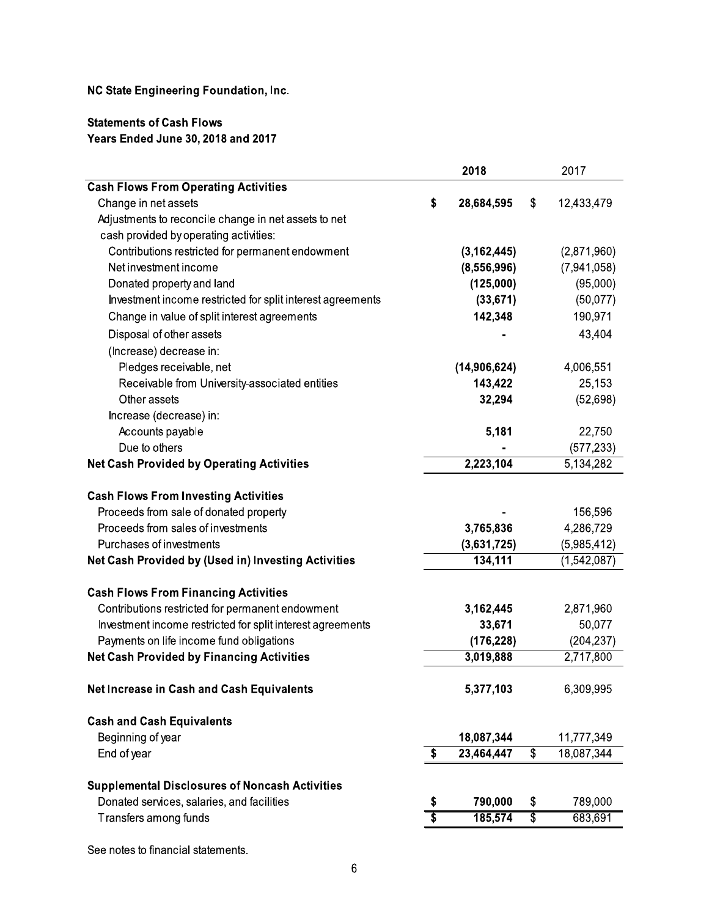### **Statements of Cash Flows** Years Ended June 30, 2018 and 2017

|                                                            |                                      | 2018          |                          | 2017        |
|------------------------------------------------------------|--------------------------------------|---------------|--------------------------|-------------|
| <b>Cash Flows From Operating Activities</b>                |                                      |               |                          |             |
| Change in net assets                                       | \$                                   | 28,684,595    | \$                       | 12,433,479  |
| Adjustments to reconcile change in net assets to net       |                                      |               |                          |             |
| cash provided by operating activities:                     |                                      |               |                          |             |
| Contributions restricted for permanent endowment           |                                      | (3, 162, 445) |                          | (2,871,960) |
| Net investment income                                      |                                      | (8,556,996)   |                          | (7,941,058) |
| Donated property and land                                  |                                      | (125,000)     |                          | (95,000)    |
| Investment income restricted for split interest agreements |                                      | (33, 671)     |                          | (50,077)    |
| Change in value of split interest agreements               |                                      | 142,348       |                          | 190,971     |
| Disposal of other assets                                   |                                      |               |                          | 43,404      |
| (Increase) decrease in:                                    |                                      |               |                          |             |
| Pledges receivable, net                                    |                                      | (14,906,624)  |                          | 4,006,551   |
| Receivable from University-associated entities             |                                      | 143,422       |                          | 25,153      |
| Other assets                                               |                                      | 32,294        |                          | (52, 698)   |
| Increase (decrease) in:                                    |                                      |               |                          |             |
| Accounts payable                                           |                                      | 5,181         |                          | 22,750      |
| Due to others                                              |                                      |               |                          | (577, 233)  |
| <b>Net Cash Provided by Operating Activities</b>           |                                      | 2,223,104     |                          | 5,134,282   |
|                                                            |                                      |               |                          |             |
| <b>Cash Flows From Investing Activities</b>                |                                      |               |                          |             |
| Proceeds from sale of donated property                     |                                      |               |                          | 156,596     |
| Proceeds from sales of investments                         |                                      | 3,765,836     |                          | 4,286,729   |
| Purchases of investments                                   |                                      | (3,631,725)   |                          | (5,985,412) |
| Net Cash Provided by (Used in) Investing Activities        |                                      | 134,111       |                          | (1,542,087) |
| <b>Cash Flows From Financing Activities</b>                |                                      |               |                          |             |
| Contributions restricted for permanent endowment           |                                      | 3,162,445     |                          | 2,871,960   |
| Investment income restricted for split interest agreements |                                      | 33,671        |                          | 50,077      |
| Payments on life income fund obligations                   |                                      | (176, 228)    |                          | (204, 237)  |
| <b>Net Cash Provided by Financing Activities</b>           |                                      | 3,019,888     |                          | 2,717,800   |
|                                                            |                                      |               |                          |             |
| Net Increase in Cash and Cash Equivalents                  |                                      | 5,377,103     |                          | 6,309,995   |
|                                                            |                                      |               |                          |             |
| <b>Cash and Cash Equivalents</b>                           |                                      |               |                          |             |
| Beginning of year                                          |                                      | 18,087,344    |                          | 11,777,349  |
| End of year                                                | \$                                   | 23,464,447    | $\overline{\mathcal{E}}$ | 18,087,344  |
|                                                            |                                      |               |                          |             |
| <b>Supplemental Disclosures of Noncash Activities</b>      |                                      |               |                          |             |
| Donated services, salaries, and facilities                 | \$                                   | 790,000       | \$                       | 789,000     |
| Transfers among funds                                      | $\overline{\boldsymbol{\mathsf{s}}}$ | 185,574       | ₹                        | 683,691     |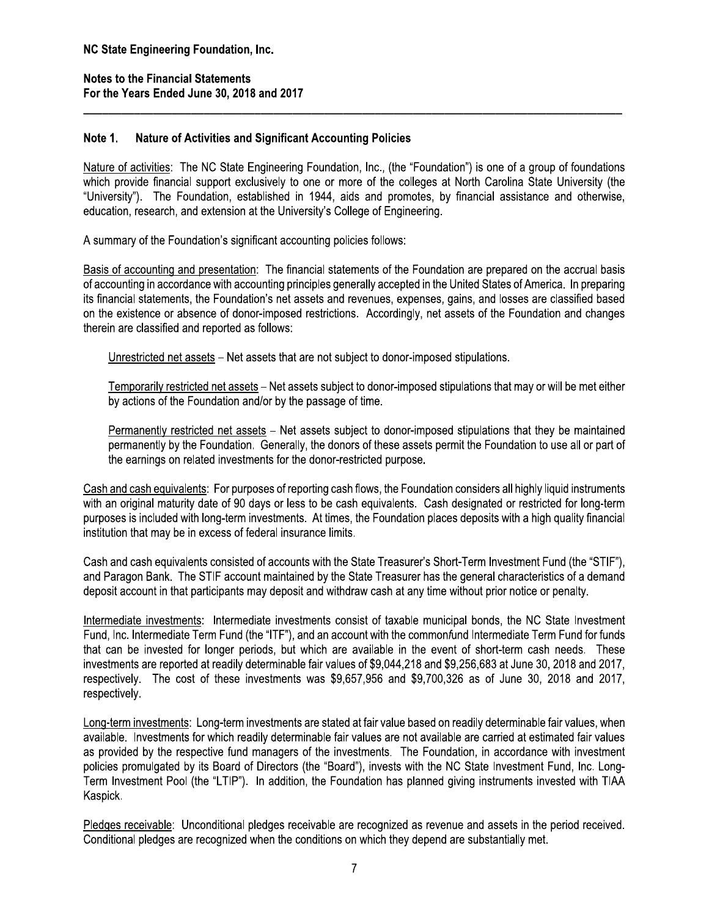$\mathbf{r}$ Notes to the Financial Statements<br>———————————————————— For the Years Ended June 30, 2018 and 2017

### Note 1. Note 1. Nature of Activities and Significant Accounting Policies

Nature of activities: The NC State Engineering Foundation, Inc., (the "Foundation") is one of a group of foundations NC State Engineering Foundation, Inc.<br>
Notes to the Financial Statements<br>
For the Years Ended June 30, 2018 and 2017<br>
Note 1. Nature of Activities: The NC State Engineering Foundation, Inc., (the "Foundation") is one of a Notes to the Financial Statements<br>
For the Years Ended June 30, 2018 and 2017<br>
Note 1. Nature of Activities and Significant Accounting Policies<br>
Nature of a group of foundations<br>
Which provide financial support exclusively "University"). The Foundation, established in 1944, aids and promotes, by financial assistance and otherwise, education, research, and extension at the University's College of Engineering.

!!!!!!!!!!!!!!!!!!!!!!!!!!!!!!!!!!!!!!!!!!!!!!!!!!!!!!!!!!!!!!!!!!!!!!!!!!!!!!!!!!!!!

l. A summary of the Foundation's significant accounting policies follows:

 $\mathbf{r}$ Basis of accounting and presentation: The financial statements of the Foundation are prepared on the accrual basis of accounting in accordance with accounting principles generally accepted in the United States of America. In preparing its financial statements, the Foundation's net assets and revenues, expenses, gains, and losses are classified based on the existence or absence of donor-imposed restrictions. Accordingly, net assets of the Foundation and changes therein are classified and reported as follows: ummary of the Foundation's significant accounting policies follows:<br>
sis of accounting and presentation: The financial statements of the Foundation are prepared<br>
ccounting in accordance with accounting principles generally 0.6 accounting and presentation: The financial statements of the Foundation are prepared on the accrual basis<br>counting in accordance with accounting principles generally accepted in the United States of America. In prepari

Temporarily restricted net assets – Net assets subject to donor-imposed stipulations that may or will be met either by actions of the Foundation and/or by the passage of time.

Permanently restricted net assets – Net assets subject to donor-imposed stipulations that they be maintained permanently by the Foundation. Generally, the donors of these assets permit the Foundation to use all or part of the earnings on related investments for the donor-restricted purpose.

e existence or absence of donor-imposed restrictions. Accordingly, net assets of the Foundation and changes<br>in are classified and reported as follows:<br>Unrestricted net assets -- Net assets subject to donor-imposed stipulat  $\mathbf{r}$ Cash and cash equivalents. For purposes of reporting cash flows, the Foundation considers all highly liquid instruments with an original maturity date of 90 days or less to be cash equivalents. Cash designated or restricted for long-term purposes is included with long-term investments. At times, the Foundation places deposits with a high quality financial institution that may be in excess of federal insurance limits.

 $\mathbb{R}^{\mathbb{Z}}$  $\epsilon$  cash and cash equivalents consisted of accounts with the State Treasurer's Short-Term investment Fund (the "STIF"), and Paragon Bank. The STIF account maintained by the State Treasurer has the general characteristics of a demand deposit account in that participants may deposit and withdraw cash at any time without prior notice or penalty.

Intermediate investments: Intermediate investments consist of taxable municipal bonds, the NC State Investment with an original maturity date of 90 days or less to be cash equivalents. Cash designated or restricted for long-term<br>purposes is included with long-term investments. At times, the Foundation places deposits with a high qu Fund, Inc. Intermediate Term Fund (the "ITF"), and an account with the commonfund Intermediate Term Fund for funds that can be invested for longer periods, but which are available in the event of short-term cash needs. These investments are reported at readily determinable fair values of \$9,044,218 and \$9,256,683 at June 30, 2018 and 2017, respectively. The cost of these investments was  $$9,657,956$  and  $$9,700,326$  as of June 30, 2018 and 2017, respectively.

 $\mathbb{R}^{\mathbb{Z}}$ <u>Long-term investments</u>: "Long-term investments are stated at fair value based on readily determinable fair values, when available. Investments for which readily determinable fair values are not available are carried at estimated fair values as provided by the respective fund managers of the investments. The Foundation, in accordance with investment<br>policies promulgated by its Board of Directors (the "Board"), invests with the NC State Investment Fund, Inc. Lo that can be invested for longer periods, but which are available in the event of short-term cash needs. These investments are reported at readily determinable fair values of \$9,044,218 and \$9,705,38 at June 30, 2018 and 20 Term Investment Pool (the "LTIP"). In addition, the Foundation has planned giving instruments invested with TIAA Kaspick.

 $\mathbf{r}$ Piedges receivable: Unconditional pledges receivable are recognized as revenue and assets in the period received. Conditional pledges are recognized when the conditions on which they depend are substantially met.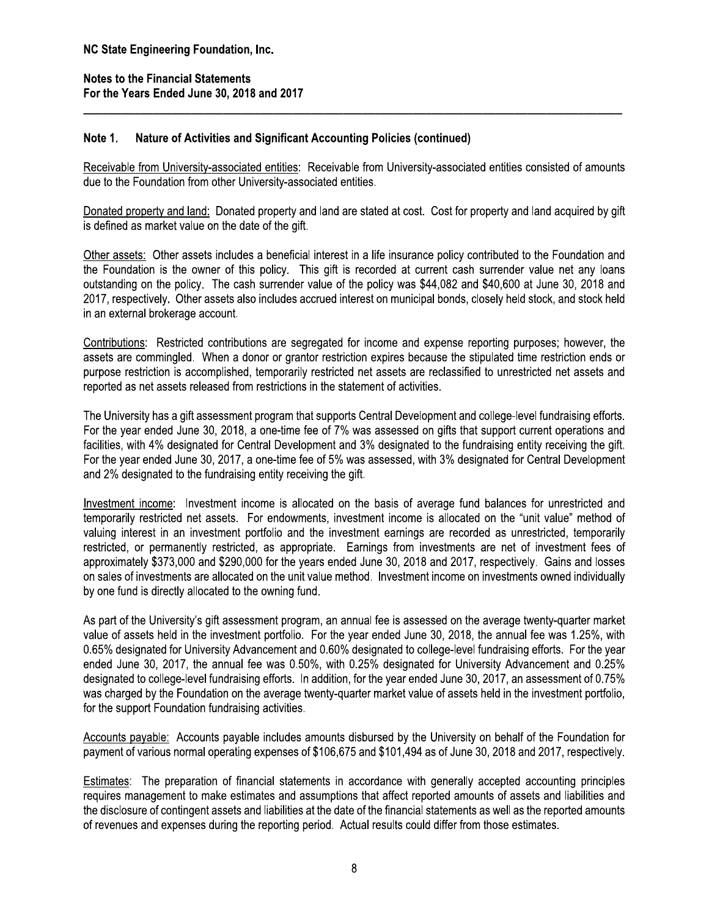**Notes to the Financial Statements** For the Years Ended June 30, 2018 and 2017

#### Note 1. **Nature of Activities and Significant Accounting Policies (continued)**

Receivable from University-associated entities: Receivable from University-associated entities consisted of amounts due to the Foundation from other University-associated entities.

Donated property and land: Donated property and land are stated at cost. Cost for property and land acquired by gift is defined as market value on the date of the gift.

Other assets: Other assets includes a beneficial interest in a life insurance policy contributed to the Foundation and the Foundation is the owner of this policy. This gift is recorded at current cash surrender value net any loans outstanding on the policy. The cash surrender value of the policy was \$44,082 and \$40,600 at June 30, 2018 and 2017, respectively. Other assets also includes accrued interest on municipal bonds, closely held stock, and stock held in an external brokerage account.

Contributions: Restricted contributions are segregated for income and expense reporting purposes; however, the assets are commingled. When a donor or grantor restriction expires because the stipulated time restriction ends or purpose restriction is accomplished, temporarily restricted net assets are reclassified to unrestricted net assets and reported as net assets released from restrictions in the statement of activities.

The University has a gift assessment program that supports Central Development and college-level fundraising efforts. For the year ended June 30, 2018, a one-time fee of 7% was assessed on gifts that support current operations and facilities, with 4% designated for Central Development and 3% designated to the fundraising entity receiving the gift. For the year ended June 30, 2017, a one-time fee of 5% was assessed, with 3% designated for Central Development and 2% designated to the fundraising entity receiving the gift.

Investment income: Investment income is allocated on the basis of average fund balances for unrestricted and temporarily restricted net assets. For endowments, investment income is allocated on the "unit value" method of valuing interest in an investment portfolio and the investment earnings are recorded as unrestricted, temporarily restricted, or permanently restricted, as appropriate. Earnings from investments are net of investment fees of approximately \$373,000 and \$290,000 for the years ended June 30, 2018 and 2017, respectively. Gains and losses on sales of investments are allocated on the unit value method. Investment income on investments owned individually by one fund is directly allocated to the owning fund.

As part of the University's gift assessment program, an annual fee is assessed on the average twenty-quarter market value of assets held in the investment portfolio. For the year ended June 30, 2018, the annual fee was 1.25%, with 0.65% designated for University Advancement and 0.60% designated to college-level fundraising efforts. For the year ended June 30, 2017, the annual fee was 0.50%, with 0.25% designated for University Advancement and 0.25% designated to college-level fundraising efforts. In addition, for the year ended June 30, 2017, an assessment of 0.75% was charged by the Foundation on the average twenty-quarter market value of assets held in the investment portfolio, for the support Foundation fundraising activities.

Accounts payable: Accounts payable includes amounts disbursed by the University on behalf of the Foundation for payment of various normal operating expenses of \$106,675 and \$101,494 as of June 30, 2018 and 2017, respectively.

Estimates: The preparation of financial statements in accordance with generally accepted accounting principles requires management to make estimates and assumptions that affect reported amounts of assets and liabilities and the disclosure of contingent assets and liabilities at the date of the financial statements as well as the reported amounts of revenues and expenses during the reporting period. Actual results could differ from those estimates.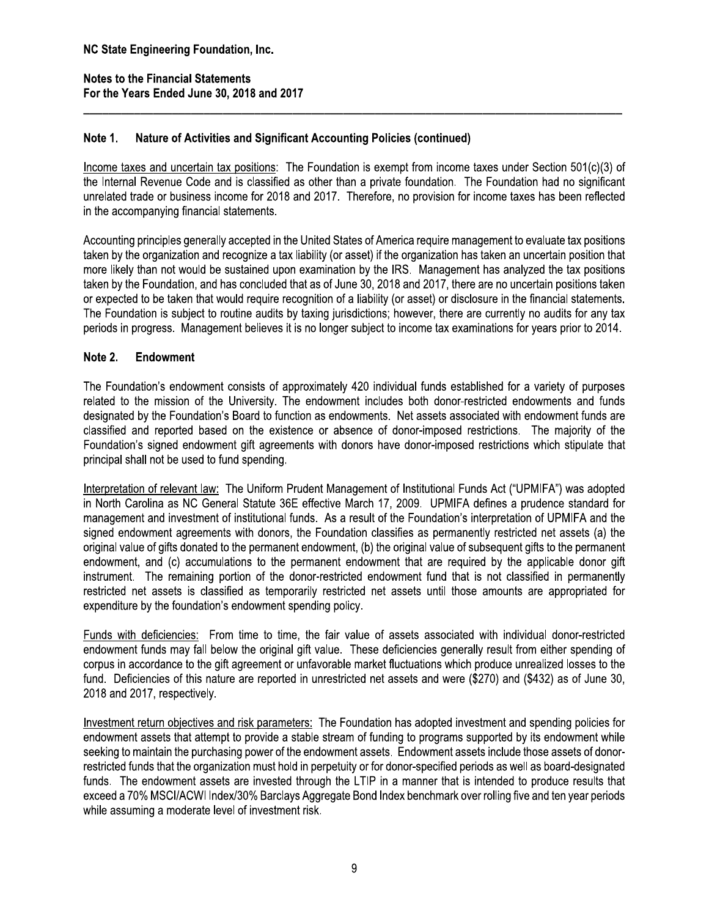**Notes to the Financial Statements** For the Years Ended June 30, 2018 and 2017

#### Note 1. **Nature of Activities and Significant Accounting Policies (continued)**

Income taxes and uncertain tax positions: The Foundation is exempt from income taxes under Section 501(c)(3) of the Internal Revenue Code and is classified as other than a private foundation. The Foundation had no significant unrelated trade or business income for 2018 and 2017. Therefore, no provision for income taxes has been reflected in the accompanying financial statements.

Accounting principles generally accepted in the United States of America require management to evaluate tax positions taken by the organization and recognize a tax liability (or asset) if the organization has taken an uncertain position that more likely than not would be sustained upon examination by the IRS. Management has analyzed the tax positions taken by the Foundation, and has concluded that as of June 30, 2018 and 2017, there are no uncertain positions taken or expected to be taken that would require recognition of a liability (or asset) or disclosure in the financial statements. The Foundation is subject to routine audits by taxing jurisdictions; however, there are currently no audits for any tax periods in progress. Management believes it is no longer subject to income tax examinations for years prior to 2014.

#### Note 2. **Endowment**

The Foundation's endowment consists of approximately 420 individual funds established for a variety of purposes related to the mission of the University. The endowment includes both donor-restricted endowments and funds designated by the Foundation's Board to function as endowments. Net assets associated with endowment funds are classified and reported based on the existence or absence of donor-imposed restrictions. The majority of the Foundation's signed endowment gift agreements with donors have donor-imposed restrictions which stipulate that principal shall not be used to fund spending.

Interpretation of relevant law: The Uniform Prudent Management of Institutional Funds Act ("UPMIFA") was adopted in North Carolina as NC General Statute 36E effective March 17, 2009. UPMIFA defines a prudence standard for management and investment of institutional funds. As a result of the Foundation's interpretation of UPMIFA and the signed endowment agreements with donors, the Foundation classifies as permanently restricted net assets (a) the original value of gifts donated to the permanent endowment, (b) the original value of subsequent gifts to the permanent endowment, and (c) accumulations to the permanent endowment that are required by the applicable donor gift instrument. The remaining portion of the donor-restricted endowment fund that is not classified in permanently restricted net assets is classified as temporarily restricted net assets until those amounts are appropriated for expenditure by the foundation's endowment spending policy.

Funds with deficiencies: From time to time, the fair value of assets associated with individual donor-restricted endowment funds may fall below the original gift value. These deficiencies generally result from either spending of corpus in accordance to the gift agreement or unfavorable market fluctuations which produce unrealized losses to the fund. Deficiencies of this nature are reported in unrestricted net assets and were (\$270) and (\$432) as of June 30, 2018 and 2017, respectively.

Investment return objectives and risk parameters: The Foundation has adopted investment and spending policies for endowment assets that attempt to provide a stable stream of funding to programs supported by its endowment while seeking to maintain the purchasing power of the endowment assets. Endowment assets include those assets of donorrestricted funds that the organization must hold in perpetuity or for donor-specified periods as well as board-designated funds. The endowment assets are invested through the LTIP in a manner that is intended to produce results that exceed a 70% MSCI/ACWI Index/30% Barclays Aggregate Bond Index benchmark over rolling five and ten year periods while assuming a moderate level of investment risk.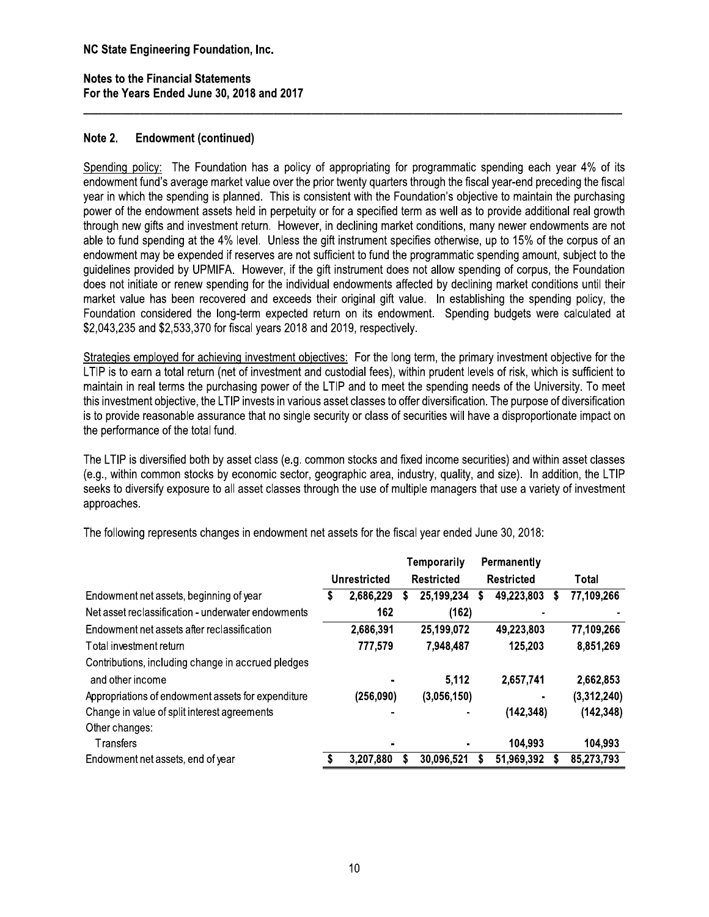### **Notes to the Financial Statements** For the Years Ended June 30, 2018 and 2017

#### Note 2. **Endowment (continued)**

Spending policy: The Foundation has a policy of appropriating for programmatic spending each year 4% of its endowment fund's average market value over the prior twenty quarters through the fiscal year-end preceding the fiscal year in which the spending is planned. This is consistent with the Foundation's objective to maintain the purchasing power of the endowment assets held in perpetuity or for a specified term as well as to provide additional real growth through new gifts and investment return. However, in declining market conditions, many newer endowments are not able to fund spending at the 4% level. Unless the gift instrument specifies otherwise, up to 15% of the corpus of an endowment may be expended if reserves are not sufficient to fund the programmatic spending amount, subject to the quidelines provided by UPMIFA. However, if the gift instrument does not allow spending of corpus, the Foundation does not initiate or renew spending for the individual endowments affected by declining market conditions until their market value has been recovered and exceeds their original gift value. In establishing the spending policy, the Foundation considered the long-term expected return on its endowment. Spending budgets were calculated at \$2,043,235 and \$2,533,370 for fiscal years 2018 and 2019, respectively.

Strategies employed for achieving investment objectives: For the long term, the primary investment objective for the LTIP is to earn a total return (net of investment and custodial fees), within prudent levels of risk, which is sufficient to maintain in real terms the purchasing power of the LTIP and to meet the spending needs of the University. To meet this investment objective, the LTIP invests in various asset classes to offer diversification. The purpose of diversification is to provide reasonable assurance that no single security or class of securities will have a disproportionate impact on the performance of the total fund.

The LTIP is diversified both by asset class (e.g. common stocks and fixed income securities) and within asset classes (e.g., within common stocks by economic sector, geographic area, industry, quality, and size). In addition, the LTIP seeks to diversify exposure to all asset classes through the use of multiple managers that use a variety of investment approaches.

The following represents changes in endowment net assets for the fiscal year ended June 30, 2018:

|                                                    |    |              | Temporarily |                   |   | Permanently       |   |             |
|----------------------------------------------------|----|--------------|-------------|-------------------|---|-------------------|---|-------------|
|                                                    |    | Unrestricted |             | <b>Restricted</b> |   | <b>Restricted</b> |   | Total       |
| Endowment net assets, beginning of year            | Y. | 2,686,229    | S           | 25,199,234        | S | 49,223,803        | S | 77,109,266  |
| Net asset reclassification - underwater endowments |    | 162          |             | (162)             |   |                   |   |             |
| Endowment net assets after reclassification        |    | 2,686,391    |             | 25,199,072        |   | 49,223,803        |   | 77,109,266  |
| Total investment return                            |    | 777,579      |             | 7,948,487         |   | 125,203           |   | 8,851,269   |
| Contributions, including change in accrued pledges |    |              |             |                   |   |                   |   |             |
| and other income                                   |    |              |             | 5,112             |   | 2,657,741         |   | 2,662,853   |
| Appropriations of endowment assets for expenditure |    | (256,090)    |             | (3,056,150)       |   |                   |   | (3,312,240) |
| Change in value of split interest agreements       |    |              |             |                   |   | (142, 348)        |   | (142, 348)  |
| Other changes:                                     |    |              |             |                   |   |                   |   |             |
| <b>Transfers</b>                                   |    | ٠            |             |                   |   | 104,993           |   | 104,993     |
| Endowment net assets, end of year                  |    | 3,207,880    |             | 30,096,521        |   | 51,969,392        |   | 85,273,793  |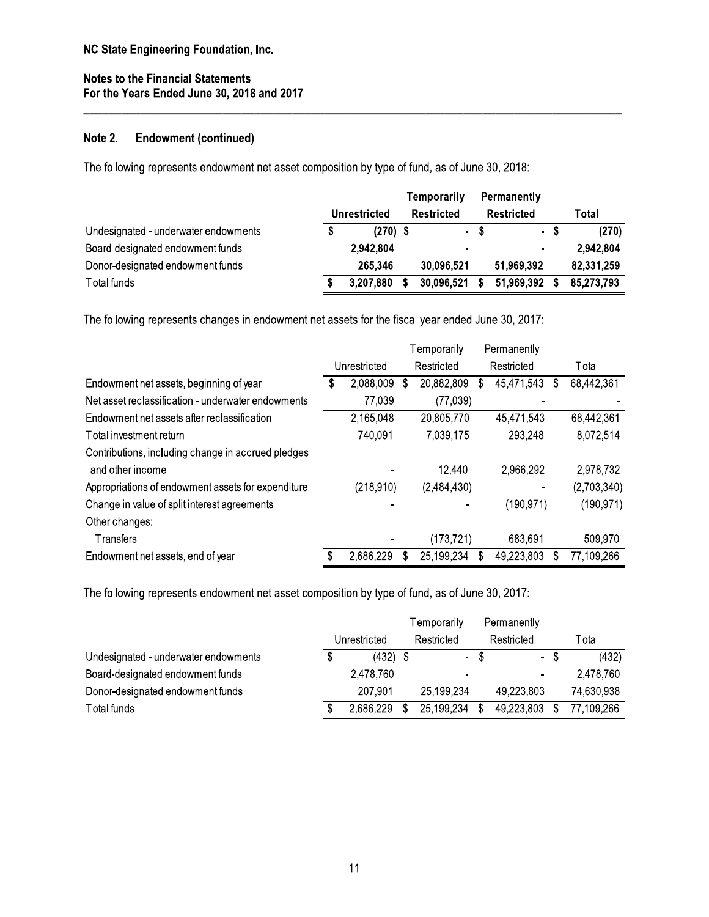### **Notes to the Financial Statements** For the Years Ended June 30, 2018 and 2017

#### Note 2. **Endowment (continued)**

The following represents endowment net asset composition by type of fund, as of June 30, 2018:

|                                      |              |   | Temporarily       |     | Permanently       |      |            |
|--------------------------------------|--------------|---|-------------------|-----|-------------------|------|------------|
|                                      | Unrestricted |   | <b>Restricted</b> |     | <b>Restricted</b> |      | Total      |
| Undesignated - underwater endowments | $(270)$ \$   |   |                   | - S |                   | - \$ | (270)      |
| Board-designated endowment funds     | 2,942,804    |   | ٠                 |     |                   |      | 2,942,804  |
| Donor-designated endowment funds     | 265,346      |   | 30.096.521        |     | 51,969,392        |      | 82,331,259 |
| Total funds                          | 3,207,880    | S | 30,096,521        | S   | 51,969,392        | -S   | 85,273,793 |

The following represents changes in endowment net assets for the fiscal year ended June 30, 2017:

|                                                    | Temporarily |              | Permanently      |   |            |   |             |
|----------------------------------------------------|-------------|--------------|------------------|---|------------|---|-------------|
|                                                    |             | Unrestricted | Restricted       |   | Restricted |   | Total       |
| Endowment net assets, beginning of year            | \$          | 2,088,009    | 20,882,809       | S | 45,471,543 | S | 68,442,361  |
| Net asset reclassification - underwater endowments |             | 77,039       | (77,039)         |   |            |   |             |
| Endowment net assets after reclassification        |             | 2,165,048    | 20,805,770       |   | 45,471,543 |   | 68,442,361  |
| Total investment return                            |             | 740,091      | 7,039,175        |   | 293,248    |   | 8,072,514   |
| Contributions, including change in accrued pledges |             |              |                  |   |            |   |             |
| and other income                                   |             |              | 12,440           |   | 2,966,292  |   | 2,978,732   |
| Appropriations of endowment assets for expenditure |             | (218,910)    | (2,484,430)      |   |            |   | (2,703,340) |
| Change in value of split interest agreements       |             |              |                  |   | (190, 971) |   | (190,971)   |
| Other changes:                                     |             |              |                  |   |            |   |             |
| <b>Transfers</b>                                   |             |              | (173, 721)       |   | 683,691    |   | 509,970     |
| Endowment net assets, end of year                  |             | 2,686,229    | \$<br>25,199,234 |   | 49,223,803 |   | 77,109,266  |

The following represents endowment net asset composition by type of fund, as of June 30, 2017:

|                                      |   |              | Temporarily      |      | Permanently |     |            |
|--------------------------------------|---|--------------|------------------|------|-------------|-----|------------|
|                                      |   | Unrestricted | Restricted       |      | Restricted  |     | Total      |
| Undesignated - underwater endowments | S | $(432)$ \$   |                  | - \$ | - \$        |     | (432)      |
| Board-designated endowment funds     |   | 2,478,760    | $\blacksquare$   |      |             |     | 2,478,760  |
| Donor-designated endowment funds     |   | 207,901      | 25,199,234       |      | 49,223,803  |     | 74,630,938 |
| Total funds                          | S | 2.686.229    | \$<br>25,199,234 | -S   | 49,223,803  | \$. | 77.109.266 |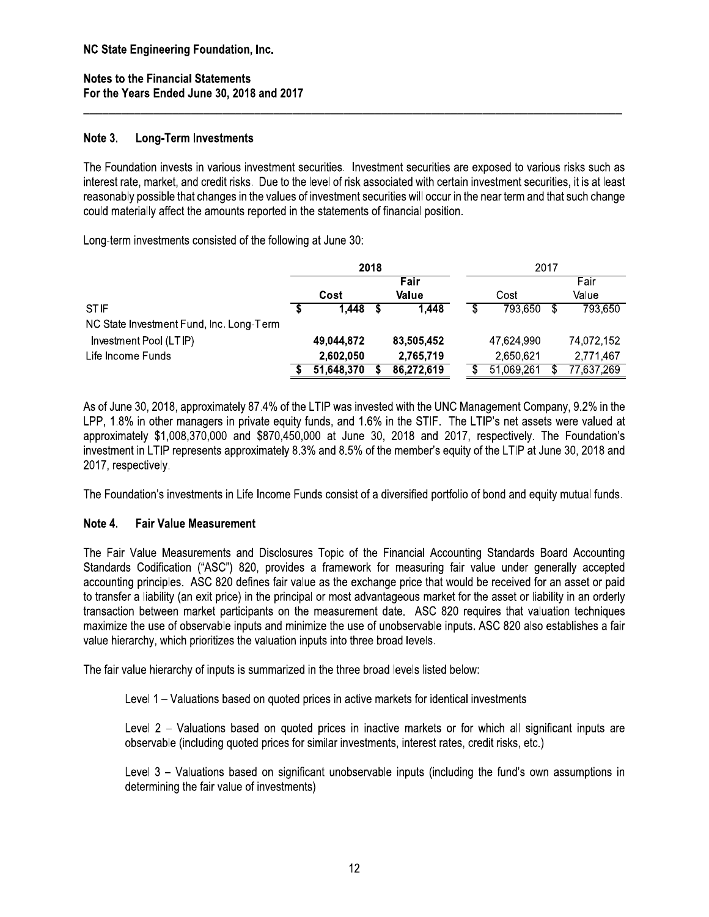### **Notes to the Financial Statements** For the Years Ended June 30, 2018 and 2017

#### Note 3. **Long-Term Investments**

The Foundation invests in various investment securities. Investment securities are exposed to various risks such as interest rate, market, and credit risks. Due to the level of risk associated with certain investment securities, it is at least reasonably possible that changes in the values of investment securities will occur in the near term and that such change could materially affect the amounts reported in the statements of financial position.

Long-term investments consisted of the following at June 30:

|                                          |            | 2018 |               |      | 2017       |  |               |
|------------------------------------------|------------|------|---------------|------|------------|--|---------------|
|                                          | Cost       |      | Fair<br>Value | Cost |            |  | Fair<br>Value |
| <b>STIF</b>                              | 1.448      |      | 1.448         | S    | 793,650    |  | 793,650       |
| NC State Investment Fund, Inc. Long-Term |            |      |               |      |            |  |               |
| Investment Pool (LTIP)                   | 49,044,872 |      | 83,505,452    |      | 47,624,990 |  | 74,072,152    |
| Life Income Funds                        | 2,602,050  |      | 2,765,719     |      | 2,650,621  |  | 2,771,467     |
|                                          | 51,648,370 |      | 86,272,619    |      | 51.069.261 |  | 77,637,269    |

As of June 30, 2018, approximately 87.4% of the LTIP was invested with the UNC Management Company, 9.2% in the LPP, 1.8% in other managers in private equity funds, and 1.6% in the STIF. The LTIP's net assets were valued at approximately \$1,008,370,000 and \$870,450,000 at June 30, 2018 and 2017, respectively. The Foundation's investment in LTIP represents approximately 8.3% and 8.5% of the member's equity of the LTIP at June 30, 2018 and 2017, respectively.

The Foundation's investments in Life Income Funds consist of a diversified portfolio of bond and equity mutual funds.

#### Note 4. **Fair Value Measurement**

The Fair Value Measurements and Disclosures Topic of the Financial Accounting Standards Board Accounting Standards Codification ("ASC") 820, provides a framework for measuring fair value under generally accepted accounting principles. ASC 820 defines fair value as the exchange price that would be received for an asset or paid to transfer a liability (an exit price) in the principal or most advantageous market for the asset or liability in an orderly transaction between market participants on the measurement date. ASC 820 requires that valuation techniques maximize the use of observable inputs and minimize the use of unobservable inputs. ASC 820 also establishes a fair value hierarchy, which prioritizes the valuation inputs into three broad levels.

The fair value hierarchy of inputs is summarized in the three broad levels listed below:

Level 1 – Valuations based on quoted prices in active markets for identical investments

Level 2 – Valuations based on quoted prices in inactive markets or for which all significant inputs are observable (including quoted prices for similar investments, interest rates, credit risks, etc.)

Level 3 – Valuations based on significant unobservable inputs (including the fund's own assumptions in determining the fair value of investments)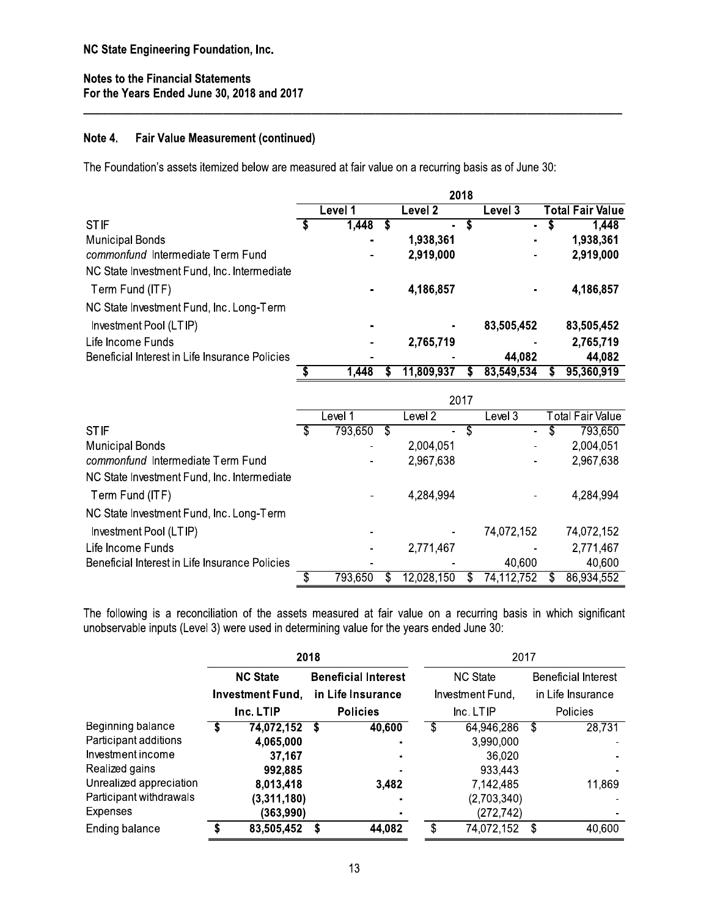### **Notes to the Financial Statements** For the Years Ended June 30, 2018 and 2017

#### **Fair Value Measurement (continued)** Note 4.

The Foundation's assets itemized below are measured at fair value on a recurring basis as of June 30:

|                                                | 2018 |         |   |                |   |                |   |                         |  |
|------------------------------------------------|------|---------|---|----------------|---|----------------|---|-------------------------|--|
|                                                |      | Level 1 |   | Level 2        |   | Level 3        |   | <b>Total Fair Value</b> |  |
| <b>STIF</b>                                    |      | 1,448   | S | $\blacksquare$ | S | $\blacksquare$ | S | 1,448                   |  |
| <b>Municipal Bonds</b>                         |      |         |   | 1,938,361      |   | ۰              |   | 1,938,361               |  |
| commonfund Intermediate Term Fund              |      |         |   | 2,919,000      |   | $\blacksquare$ |   | 2,919,000               |  |
| NC State Investment Fund, Inc. Intermediate    |      |         |   |                |   |                |   |                         |  |
| Term Fund (ITF)                                |      |         |   | 4,186,857      |   |                |   | 4,186,857               |  |
| NC State Investment Fund, Inc. Long-Term       |      |         |   |                |   |                |   |                         |  |
| Investment Pool (LTIP)                         |      |         |   |                |   | 83,505,452     |   | 83,505,452              |  |
| Life Income Funds                              |      |         |   | 2,765,719      |   |                |   | 2,765,719               |  |
| Beneficial Interest in Life Insurance Policies |      |         |   |                |   | 44,082         |   | 44,082                  |  |
|                                                |      | 1.448   |   | 11,809,937     |   | 83,549,534     |   | 95,360,919              |  |

|                                                | 2017 |         |   |            |   |                |   |                         |  |  |
|------------------------------------------------|------|---------|---|------------|---|----------------|---|-------------------------|--|--|
|                                                |      | Level 1 |   | Level 2    |   | Level 3        |   | <b>Total Fair Value</b> |  |  |
| <b>STIF</b>                                    |      | 793,650 | S | ۰.         | S | $\blacksquare$ | S | 793,650                 |  |  |
| <b>Municipal Bonds</b>                         |      |         |   | 2,004,051  |   |                |   | 2,004,051               |  |  |
| commonfund Intermediate Term Fund              |      |         |   | 2,967,638  |   |                |   | 2,967,638               |  |  |
| NC State Investment Fund, Inc. Intermediate    |      |         |   |            |   |                |   |                         |  |  |
| Term Fund (ITF)                                |      |         |   | 4,284,994  |   |                |   | 4,284,994               |  |  |
| NC State Investment Fund, Inc. Long-Term       |      |         |   |            |   |                |   |                         |  |  |
| Investment Pool (LTIP)                         |      |         |   |            |   | 74,072,152     |   | 74,072,152              |  |  |
| Life Income Funds                              |      |         |   | 2,771,467  |   |                |   | 2,771,467               |  |  |
| Beneficial Interest in Life Insurance Policies |      |         |   |            |   | 40,600         |   | 40,600                  |  |  |
|                                                |      | 793,650 | S | 12.028.150 |   | 74,112,752     |   | 86,934,552              |  |  |

The following is a reconciliation of the assets measured at fair value on a recurring basis in which significant unobservable inputs (Level 3) were used in determining value for the years ended June 30:

|                         | 2018                                       |             |                                                 |                 | 2017                                |             |    |                                                 |  |  |
|-------------------------|--------------------------------------------|-------------|-------------------------------------------------|-----------------|-------------------------------------|-------------|----|-------------------------------------------------|--|--|
|                         | <b>NC State</b><br><b>Investment Fund,</b> |             | <b>Beneficial Interest</b><br>in Life Insurance |                 | <b>NC State</b><br>Investment Fund, |             |    | <b>Beneficial Interest</b><br>in Life Insurance |  |  |
|                         |                                            |             |                                                 |                 |                                     |             |    |                                                 |  |  |
|                         |                                            | Inc. LTIP   |                                                 | <b>Policies</b> | $Inc.$ LT IP                        |             |    | <b>Policies</b>                                 |  |  |
| Beginning balance       |                                            | 74,072,152  | -S                                              | 40,600          | \$                                  | 64,946,286  | \$ | 28,731                                          |  |  |
| Participant additions   |                                            | 4,065,000   |                                                 |                 |                                     | 3,990,000   |    |                                                 |  |  |
| Investment income       |                                            | 37,167      |                                                 |                 |                                     | 36,020      |    |                                                 |  |  |
| Realized gains          |                                            | 992,885     |                                                 |                 |                                     | 933,443     |    |                                                 |  |  |
| Unrealized appreciation |                                            | 8,013,418   |                                                 | 3,482           |                                     | 7,142,485   |    | 11,869                                          |  |  |
| Participant withdrawals |                                            | (3,311,180) |                                                 |                 |                                     | (2,703,340) |    |                                                 |  |  |
| Expenses                |                                            | (363,990)   |                                                 |                 |                                     | (272,742)   |    |                                                 |  |  |
| Ending balance          | \$                                         | 83,505,452  | \$                                              | 44,082          | \$                                  | 74,072,152  | \$ | 40,600                                          |  |  |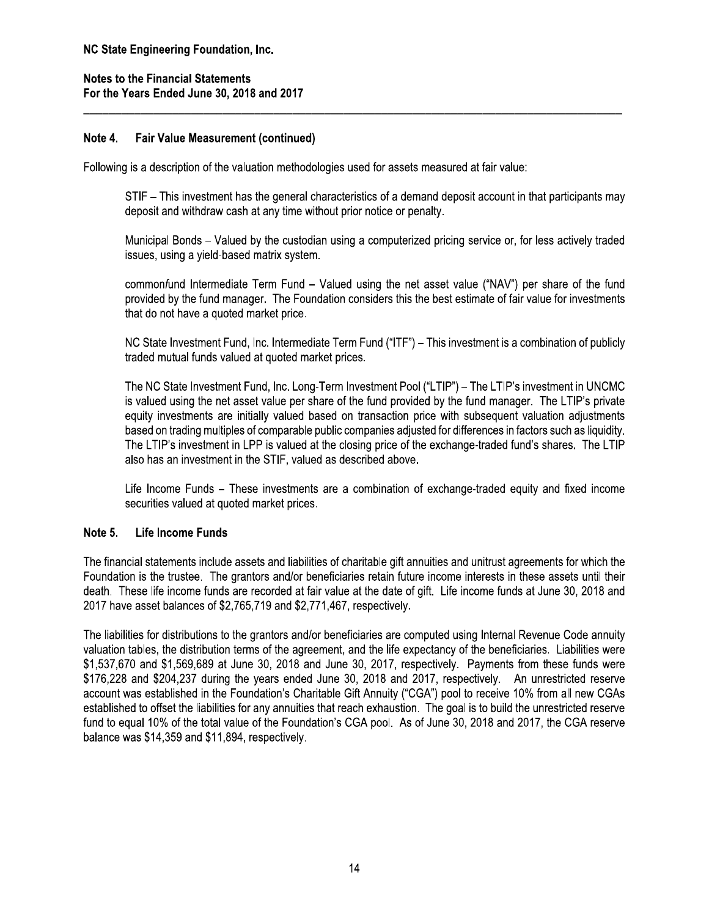**Notes to the Financial Statements** For the Years Ended June 30, 2018 and 2017

#### Note 4. **Fair Value Measurement (continued)**

Following is a description of the valuation methodologies used for assets measured at fair value:

STIF – This investment has the general characteristics of a demand deposit account in that participants may deposit and withdraw cash at any time without prior notice or penalty.

Municipal Bonds – Valued by the custodian using a computerized pricing service or, for less actively traded issues, using a yield-based matrix system.

commonfund Intermediate Term Fund – Valued using the net asset value ("NAV") per share of the fund provided by the fund manager. The Foundation considers this the best estimate of fair value for investments that do not have a quoted market price.

NC State Investment Fund, Inc. Intermediate Term Fund ("ITF") – This investment is a combination of publicly traded mutual funds valued at quoted market prices.

The NC State Investment Fund, Inc. Long-Term Investment Pool ("LTIP") - The LTIP's investment in UNCMC is valued using the net asset value per share of the fund provided by the fund manager. The LTIP's private equity investments are initially valued based on transaction price with subsequent valuation adjustments based on trading multiples of comparable public companies adjusted for differences in factors such as liquidity. The LTIP's investment in LPP is valued at the closing price of the exchange-traded fund's shares. The LTIP also has an investment in the STIF, valued as described above.

Life Income Funds – These investments are a combination of exchange-traded equity and fixed income securities valued at quoted market prices.

#### Note 5. **Life Income Funds**

The financial statements include assets and liabilities of charitable gift annuities and unitrust agreements for which the Foundation is the trustee. The grantors and/or beneficiaries retain future income interests in these assets until their death. These life income funds are recorded at fair value at the date of gift. Life income funds at June 30, 2018 and 2017 have asset balances of \$2,765,719 and \$2,771,467, respectively.

The liabilities for distributions to the grantors and/or beneficiaries are computed using Internal Revenue Code annuity valuation tables, the distribution terms of the agreement, and the life expectancy of the beneficiaries. Liabilities were \$1,537,670 and \$1,569,689 at June 30, 2018 and June 30, 2017, respectively. Payments from these funds were \$176,228 and \$204,237 during the years ended June 30, 2018 and 2017, respectively. An unrestricted reserve account was established in the Foundation's Charitable Gift Annuity ("CGA") pool to receive 10% from all new CGAs established to offset the liabilities for any annuities that reach exhaustion. The goal is to build the unrestricted reserve fund to equal 10% of the total value of the Foundation's CGA pool. As of June 30, 2018 and 2017, the CGA reserve balance was \$14,359 and \$11,894, respectively.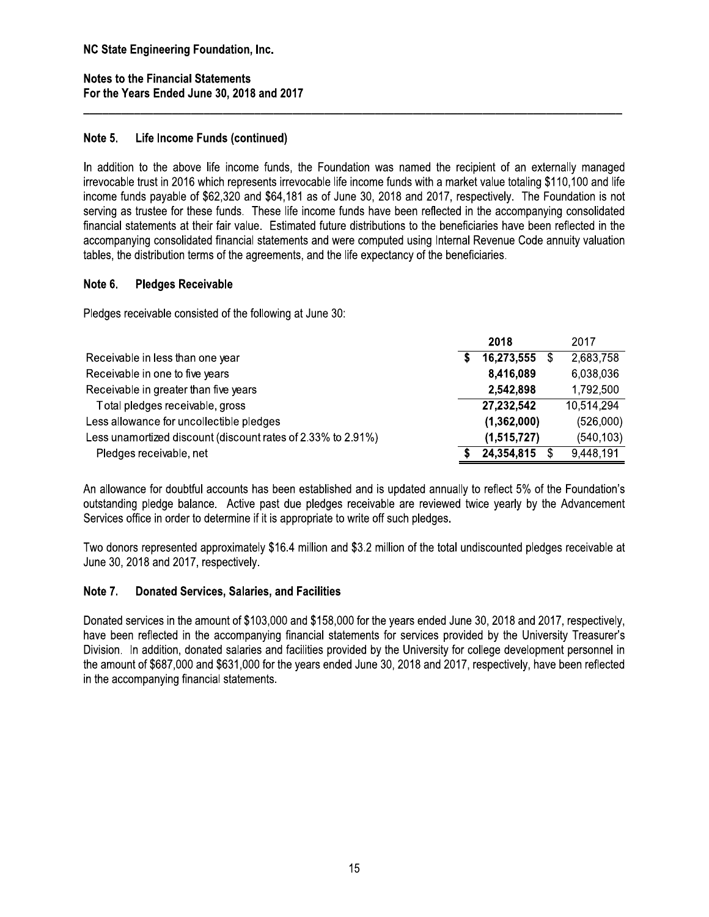### **Notes to the Financial Statements** For the Years Ended June 30, 2018 and 2017

#### Note 5. Life Income Funds (continued)

In addition to the above life income funds, the Foundation was named the recipient of an externally managed irrevocable trust in 2016 which represents irrevocable life income funds with a market value totaling \$110,100 and life income funds payable of \$62,320 and \$64,181 as of June 30, 2018 and 2017, respectively. The Foundation is not serving as trustee for these funds. These life income funds have been reflected in the accompanying consolidated financial statements at their fair value. Estimated future distributions to the beneficiaries have been reflected in the accompanying consolidated financial statements and were computed using Internal Revenue Code annuity valuation tables, the distribution terms of the agreements, and the life expectancy of the beneficiaries.

#### Note 6. **Pledges Receivable**

Pledges receivable consisted of the following at June 30:

|                                                              | 2018        | 2017       |
|--------------------------------------------------------------|-------------|------------|
| Receivable in less than one year                             | 16,273,555  | 2,683,758  |
| Receivable in one to five years                              | 8,416,089   | 6,038,036  |
| Receivable in greater than five years                        | 2,542,898   | 1,792,500  |
| Total pledges receivable, gross                              | 27,232,542  | 10,514,294 |
| Less allowance for uncollectible pledges                     | (1,362,000) | (526,000)  |
| Less unamortized discount (discount rates of 2.33% to 2.91%) | (1,515,727) | (540, 103) |
| Pledges receivable, net                                      | 24,354,815  | 9,448,191  |

An allowance for doubtful accounts has been established and is updated annually to reflect 5% of the Foundation's outstanding pledge balance. Active past due pledges receivable are reviewed twice yearly by the Advancement Services office in order to determine if it is appropriate to write off such pledges.

Two donors represented approximately \$16.4 million and \$3.2 million of the total undiscounted pledges receivable at June 30, 2018 and 2017, respectively.

#### Note 7. **Donated Services, Salaries, and Facilities**

Donated services in the amount of \$103,000 and \$158,000 for the years ended June 30, 2018 and 2017, respectively, have been reflected in the accompanying financial statements for services provided by the University Treasurer's Division. In addition, donated salaries and facilities provided by the University for college development personnel in the amount of \$687,000 and \$631,000 for the years ended June 30, 2018 and 2017, respectively, have been reflected in the accompanying financial statements.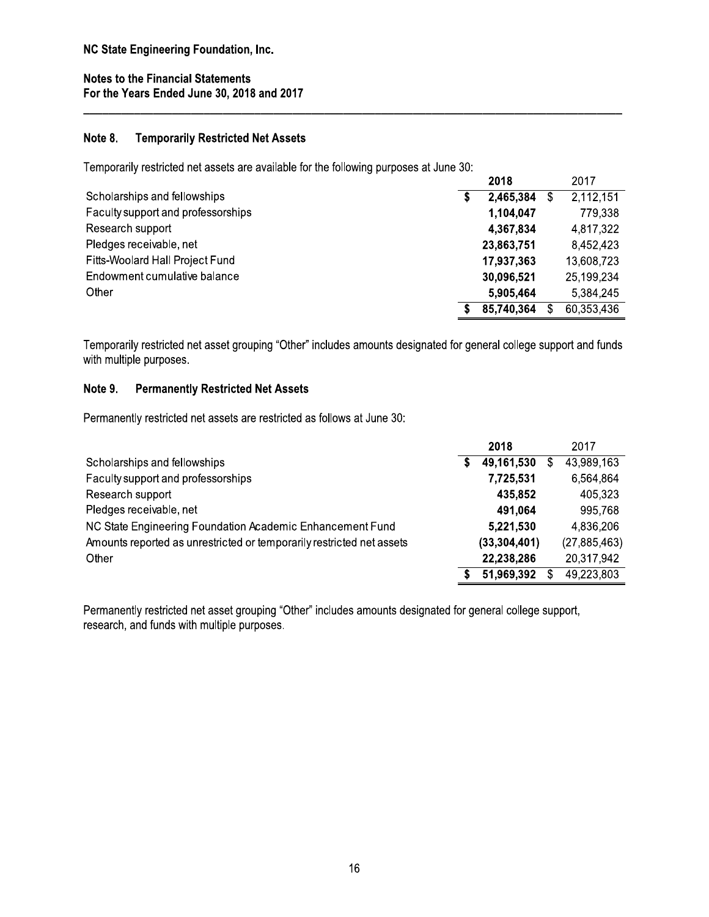**Notes to the Financial Statements** For the Years Ended June 30, 2018 and 2017

#### Note 8. **Temporarily Restricted Net Assets**

Temporarily restricted net assets are available for the following purposes at June 30:

|                                    | 2018       | 2017       |
|------------------------------------|------------|------------|
| Scholarships and fellowships       | 2,465,384  | 2,112,151  |
| Faculty support and professorships | 1,104,047  | 779,338    |
| Research support                   | 4,367,834  | 4,817,322  |
| Pledges receivable, net            | 23,863,751 | 8,452,423  |
| Fitts-Woolard Hall Project Fund    | 17,937,363 | 13,608,723 |
| Endowment cumulative balance       | 30,096,521 | 25,199,234 |
| Other                              | 5,905,464  | 5,384,245  |
|                                    | 85.740.364 | 60.353.436 |

Temporarily restricted net asset grouping "Other" includes amounts designated for general college support and funds with multiple purposes.

#### Note 9. **Permanently Restricted Net Assets**

Permanently restricted net assets are restricted as follows at June 30:

|                                                                       |   | 2018           |   | 2017           |
|-----------------------------------------------------------------------|---|----------------|---|----------------|
| Scholarships and fellowships                                          | S | 49,161,530     | S | 43,989,163     |
| Faculty support and professorships                                    |   | 7,725,531      |   | 6,564,864      |
| Research support                                                      |   | 435,852        |   | 405,323        |
| Pledges receivable, net                                               |   | 491,064        |   | 995,768        |
| NC State Engineering Foundation Academic Enhancement Fund             |   | 5,221,530      |   | 4,836,206      |
| Amounts reported as unrestricted or temporarily restricted net assets |   | (33, 304, 401) |   | (27, 885, 463) |
| Other                                                                 |   | 22,238,286     |   | 20,317,942     |
|                                                                       |   | 51,969,392     |   | 49,223,803     |

Permanently restricted net asset grouping "Other" includes amounts designated for general college support, research, and funds with multiple purposes.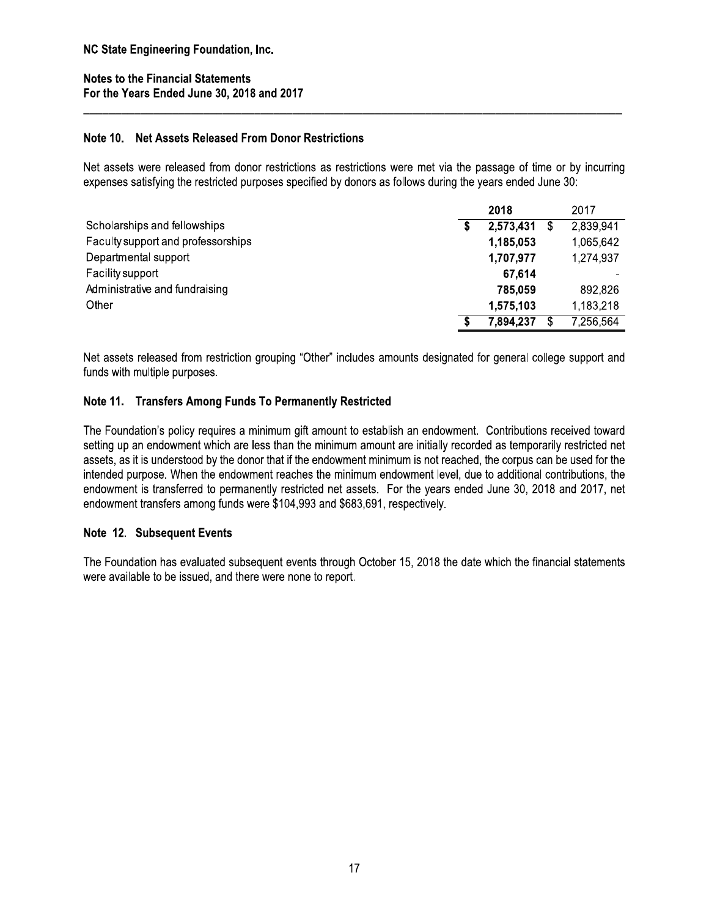### $\mathbf{r}$ NOte 10. Net Assets Released From Donor Restrictions

| <b>Net Assets Released From Donor Restrictions</b><br><b>Note 10.</b>                                                                                                                                                           |   |           |     |           |
|---------------------------------------------------------------------------------------------------------------------------------------------------------------------------------------------------------------------------------|---|-----------|-----|-----------|
|                                                                                                                                                                                                                                 |   |           |     |           |
| Net assets were released from donor restrictions as restrictions were met via the passage of time or by incurring<br>expenses satisfying the restricted purposes specified by donors as follows during the years ended June 30: |   |           |     |           |
|                                                                                                                                                                                                                                 |   | 2018      |     | 2017      |
| Scholarships and fellowships                                                                                                                                                                                                    | S | 2,573,431 | -\$ | 2,839,941 |
| Faculty support and professorships                                                                                                                                                                                              |   | 1,185,053 |     | 1,065,642 |
| Departmental support                                                                                                                                                                                                            |   | 1,707,977 |     | 1,274,937 |
| Facility support                                                                                                                                                                                                                |   | 67,614    |     |           |
| Administrative and fundraising                                                                                                                                                                                                  |   | 785,059   |     | 892,826   |
| Other                                                                                                                                                                                                                           |   | 1,575,103 |     | 1,183,218 |
|                                                                                                                                                                                                                                 |   | 7,894,237 | -S  | 7,256,564 |

### i. note 11. i ransfers Among Funds To Permanently Restricted

 $\mathbf{r}$ The Foundation's policy requires a minimum gift amount to establish an endowment. Contributions received toward setting up an endowment which are less than the minimum amount are initially recorded as temporarily restricted net assets, as it is understood by the donor that if the endowment minimum is not reached, the corpus can be used for the intended purpose. When the endowment reaches the minimum endowment level, due to additional contributions, the endowment is transferred to permanently restricted net assets. For the years ended June 30, 2018 and 2017, net endowment transfers among funds were \$104,993 and \$683,691, respectively.

### $\mathbb{R}^2$ note\_12.\_Subsequent Events

 $\mathbf{r}$ The Foundation has evaluated subsequent events through October 15, 2018 the date which the financial statements were available to be issued, and there were none to report.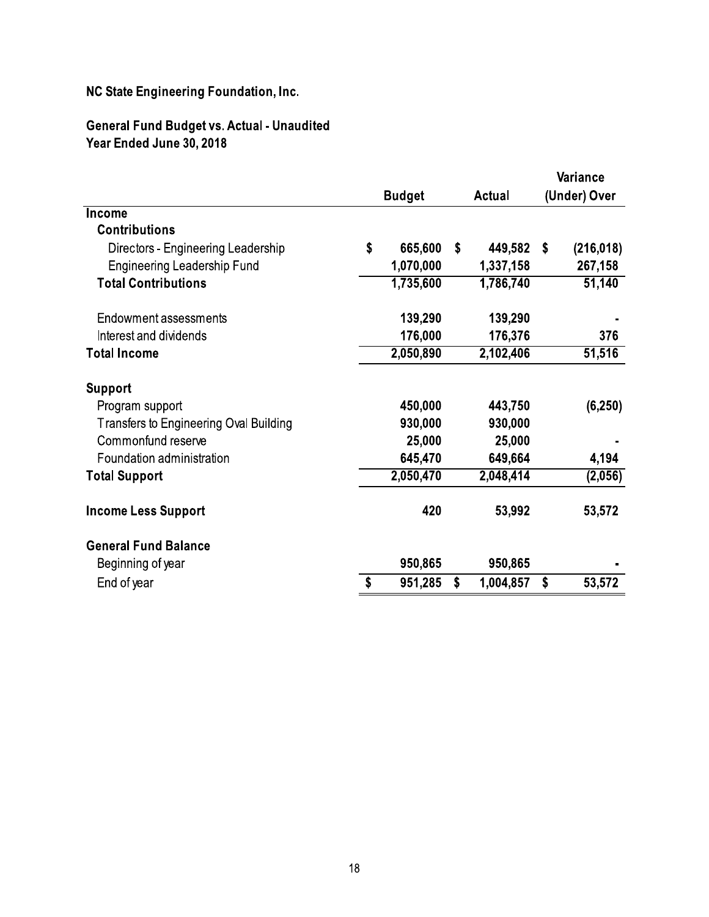### **General Fund Budget vs. Actual - Unaudited** Year Ended June 30, 2018

|                                               |    |               |    |           |    | Variance     |  |
|-----------------------------------------------|----|---------------|----|-----------|----|--------------|--|
|                                               |    | <b>Budget</b> |    | Actual    |    | (Under) Over |  |
| <b>Income</b>                                 |    |               |    |           |    |              |  |
| <b>Contributions</b>                          |    |               |    |           |    |              |  |
| Directors - Engineering Leadership            | \$ | 665,600       | \$ | 449,582   | Ŝ. | (216, 018)   |  |
| <b>Engineering Leadership Fund</b>            |    | 1,070,000     |    | 1,337,158 |    | 267,158      |  |
| <b>Total Contributions</b>                    |    | 1,735,600     |    | 1,786,740 |    | 51,140       |  |
| Endowment assessments                         |    | 139,290       |    | 139,290   |    |              |  |
| Interest and dividends                        |    | 176,000       |    | 176,376   |    | 376          |  |
| <b>Total Income</b>                           |    | 2,050,890     |    | 2,102,406 |    | 51,516       |  |
| <b>Support</b>                                |    |               |    |           |    |              |  |
| Program support                               |    | 450,000       |    | 443,750   |    | (6, 250)     |  |
| <b>Transfers to Engineering Oval Building</b> |    | 930,000       |    | 930,000   |    |              |  |
| Commonfund reserve                            |    | 25,000        |    | 25,000    |    |              |  |
| Foundation administration                     |    | 645,470       |    | 649,664   |    | 4,194        |  |
| <b>Total Support</b>                          |    | 2,050,470     |    | 2,048,414 |    | (2,056)      |  |
| <b>Income Less Support</b>                    |    | 420           |    | 53,992    |    | 53,572       |  |
| <b>General Fund Balance</b>                   |    |               |    |           |    |              |  |
| Beginning of year                             |    | 950,865       |    | 950,865   |    |              |  |
| End of year                                   | \$ | 951,285       | \$ | 1,004,857 | S  | 53,572       |  |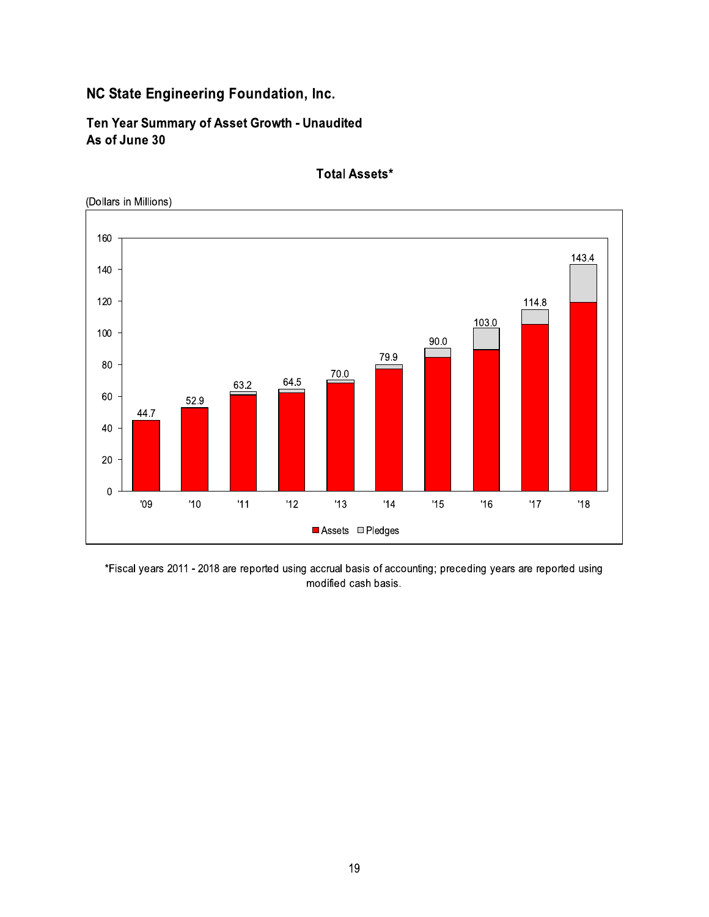Ten Year Summary of Asset Growth - Unaudited As of June 30



**Total Assets\*** 

\*Fiscal years 2011 - 2018 are reported using accrual basis of accounting; preceding years are reported using modified cash basis.